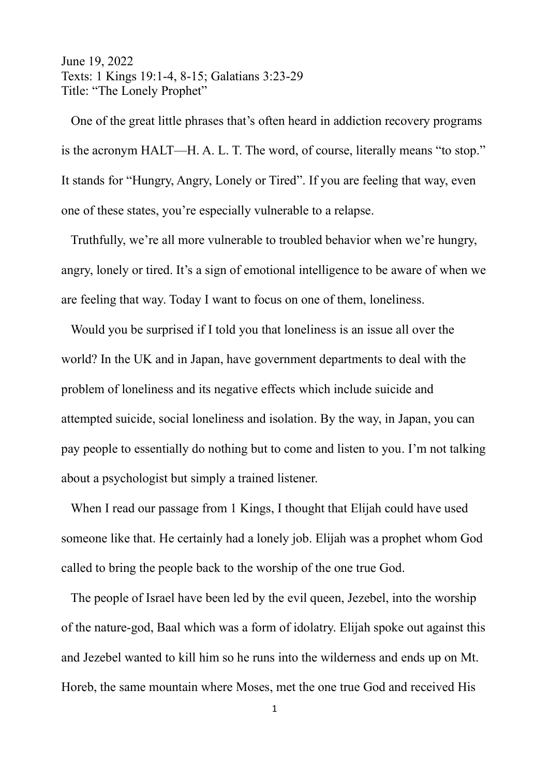June 19, 2022 Texts: 1 Kings 19:1-4, 8-15; Galatians 3:23-29 Title: "The Lonely Prophet"

 One of the great little phrases that's often heard in addiction recovery programs is the acronym HALT—H. A. L. T. The word, of course, literally means "to stop." It stands for "Hungry, Angry, Lonely or Tired". If you are feeling that way, even one of these states, you're especially vulnerable to a relapse.

 Truthfully, we're all more vulnerable to troubled behavior when we're hungry, angry, lonely or tired. It's a sign of emotional intelligence to be aware of when we are feeling that way. Today I want to focus on one of them, loneliness.

 Would you be surprised if I told you that loneliness is an issue all over the world? In the UK and in Japan, have government departments to deal with the problem of loneliness and its negative effects which include suicide and attempted suicide, social loneliness and isolation. By the way, in Japan, you can pay people to essentially do nothing but to come and listen to you. I'm not talking about a psychologist but simply a trained listener.

When I read our passage from 1 Kings, I thought that Elijah could have used someone like that. He certainly had a lonely job. Elijah was a prophet whom God called to bring the people back to the worship of the one true God.

 The people of Israel have been led by the evil queen, Jezebel, into the worship of the nature-god, Baal which was a form of idolatry. Elijah spoke out against this and Jezebel wanted to kill him so he runs into the wilderness and ends up on Mt. Horeb, the same mountain where Moses, met the one true God and received His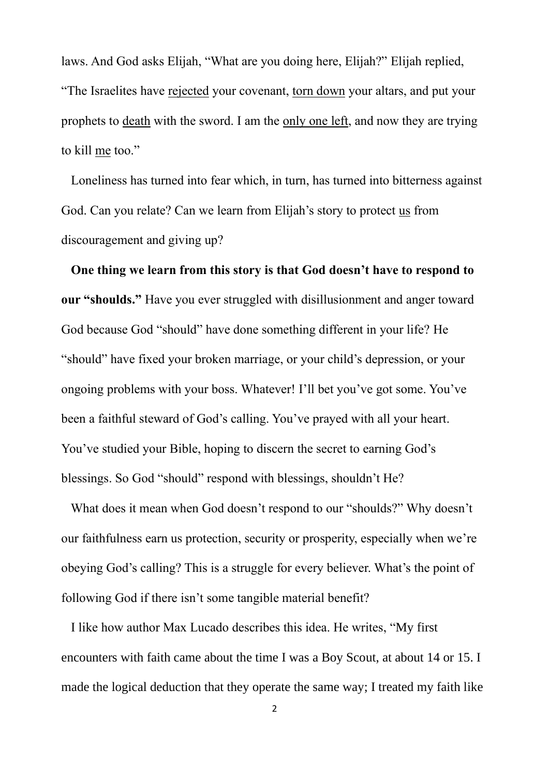laws. And God asks Elijah, "What are you doing here, Elijah?" Elijah replied, "The Israelites have rejected your covenant, torn down your altars, and put your prophets to death with the sword. I am the only one left, and now they are trying to kill me too."

 Loneliness has turned into fear which, in turn, has turned into bitterness against God. Can you relate? Can we learn from Elijah's story to protect us from discouragement and giving up?

 **One thing we learn from this story is that God doesn't have to respond to our "shoulds."** Have you ever struggled with disillusionment and anger toward God because God "should" have done something different in your life? He "should" have fixed your broken marriage, or your child's depression, or your ongoing problems with your boss. Whatever! I'll bet you've got some. You've been a faithful steward of God's calling. You've prayed with all your heart. You've studied your Bible, hoping to discern the secret to earning God's blessings. So God "should" respond with blessings, shouldn't He?

 What does it mean when God doesn't respond to our "shoulds?" Why doesn't our faithfulness earn us protection, security or prosperity, especially when we're obeying God's calling? This is a struggle for every believer. What's the point of following God if there isn't some tangible material benefit?

 I like how author Max Lucado describes this idea. He writes, ["My first](about:blank)  [encounters with faith came about the time I was a Boy Scout, at about 14 or 15. I](about:blank)  [made the logical deduction that they operate the same way; I treated my faith like](about:blank)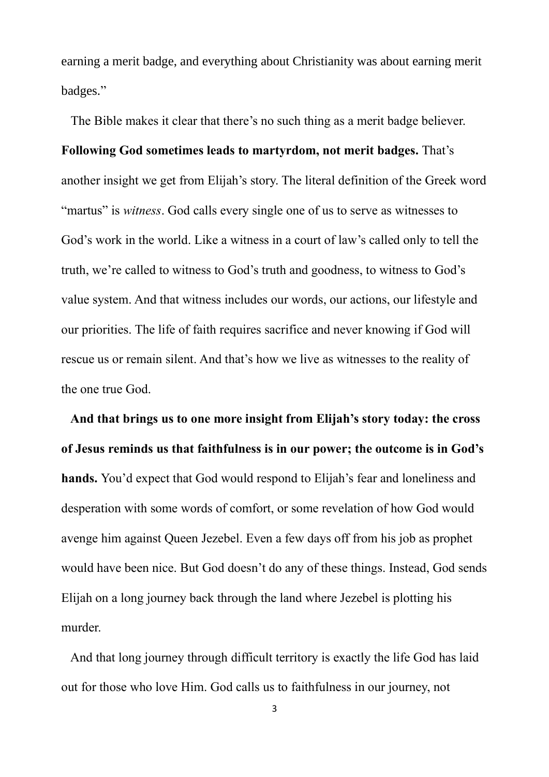[earning a merit badge, and everything about Christianity was about earning merit](about:blank)  [badges."](about:blank)

 The Bible makes it clear that there's no such thing as a merit badge believer. **Following God sometimes leads to martyrdom, not merit badges.** That's another insight we get from Elijah's story. The literal definition of the Greek word "martus" is *witness*. God calls every single one of us to serve as witnesses to God's work in the world. Like a witness in a court of law's called only to tell the truth, we're called to witness to God's truth and goodness, to witness to God's value system. And that witness includes our words, our actions, our lifestyle and our priorities. The life of faith requires sacrifice and never knowing if God will rescue us or remain silent. And that's how we live as witnesses to the reality of the one true God.

 **And that brings us to one more insight from Elijah's story today: the cross of Jesus reminds us that faithfulness is in our power; the outcome is in God's hands.** You'd expect that God would respond to Elijah's fear and loneliness and desperation with some words of comfort, or some revelation of how God would avenge him against Queen Jezebel. Even a few days off from his job as prophet would have been nice. But God doesn't do any of these things. Instead, God sends Elijah on a long journey back through the land where Jezebel is plotting his murder.

 And that long journey through difficult territory is exactly the life God has laid out for those who love Him. God calls us to faithfulness in our journey, not